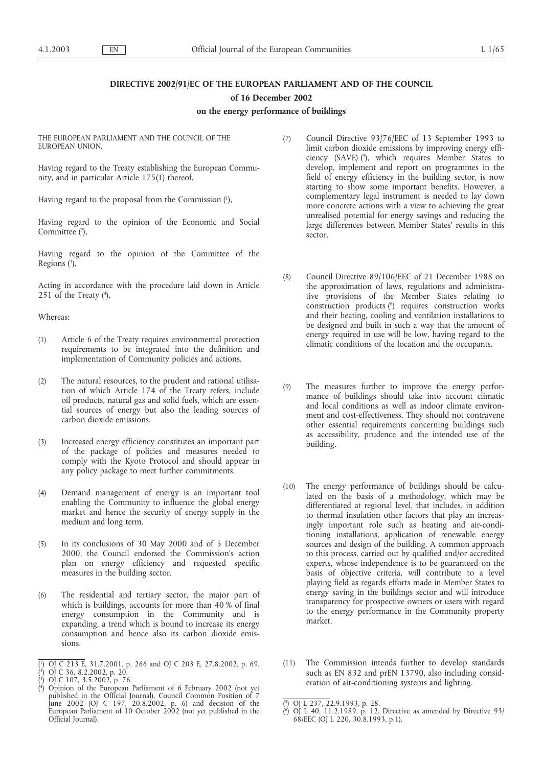# **DIRECTIVE 2002/91/EC OF THE EUROPEAN PARLIAMENT AND OF THE COUNCIL**

**of 16 December 2002**

#### **on the energy performance of buildings**

THE EUROPEAN PARLIAMENT AND THE COUNCIL OF THE EUROPEAN UNION,

Having regard to the Treaty establishing the European Community, and in particular Article 175(1) thereof,

Having regard to the proposal from the Commission (1 ),

Having regard to the opinion of the Economic and Social Committee (2),

Having regard to the opinion of the Committee of the Regions (3),

Acting in accordance with the procedure laid down in Article 251 of the Treaty  $(4)$ ,

Whereas:

- (1) Article 6 of the Treaty requires environmental protection requirements to be integrated into the definition and implementation of Community policies and actions.
- (2) The natural resources, to the prudent and rational utilisation of which Article 174 of the Treaty refers, include oil products, natural gas and solid fuels, which are essential sources of energy but also the leading sources of carbon dioxide emissions.
- (3) Increased energy efficiency constitutes an important part of the package of policies and measures needed to comply with the Kyoto Protocol and should appear in any policy package to meet further commitments.
- (4) Demand management of energy is an important tool enabling the Community to influence the global energy market and hence the security of energy supply in the medium and long term.
- (5) In its conclusions of 30 May 2000 and of 5 December 2000, the Council endorsed the Commission's action plan on energy efficiency and requested specific measures in the building sector.
- (6) The residential and tertiary sector, the major part of which is buildings, accounts for more than 40 % of final energy consumption in the Community and is expanding, a trend which is bound to increase its energy consumption and hence also its carbon dioxide emissions.
- (7) Council Directive 93/76/EEC of 13 September 1993 to limit carbon dioxide emissions by improving energy efficiency (SAVE) (5 ), which requires Member States to develop, implement and report on programmes in the field of energy efficiency in the building sector, is now starting to show some important benefits. However, a complementary legal instrument is needed to lay down more concrete actions with a view to achieving the great unrealised potential for energy savings and reducing the large differences between Member States' results in this sector.
- (8) Council Directive 89/106/EEC of 21 December 1988 on the approximation of laws, regulations and administrative provisions of the Member States relating to construction products (6 ) requires construction works and their heating, cooling and ventilation installations to be designed and built in such a way that the amount of energy required in use will be low, having regard to the climatic conditions of the location and the occupants.
- (9) The measures further to improve the energy performance of buildings should take into account climatic and local conditions as well as indoor climate environment and cost-effectiveness. They should not contravene other essential requirements concerning buildings such as accessibility, prudence and the intended use of the building.
- (10) The energy performance of buildings should be calculated on the basis of a methodology, which may be differentiated at regional level, that includes, in addition to thermal insulation other factors that play an increasingly important role such as heating and air-conditioning installations, application of renewable energy sources and design of the building. A common approach to this process, carried out by qualified and/or accredited experts, whose independence is to be guaranteed on the basis of objective criteria, will contribute to a level playing field as regards efforts made in Member States to energy saving in the buildings sector and will introduce transparency for prospective owners or users with regard to the energy performance in the Community property market.
- (11) The Commission intends further to develop standards such as EN 832 and prEN 13790, also including consideration of air-conditioning systems and lighting.

<sup>(</sup> 1 ) OJ C 213 E, 31.7.2001, p. 266 and OJ C 203 E, 27.8.2002, p. 69. ( 2 ) OJ C 36, 8.2.2002, p. 20.

<sup>(</sup> 3 ) OJ C 107, 3.5.2002, p. 76.

<sup>(</sup> 4 ) Opinion of the European Parliament of 6 February 2002 (not yet published in the Official Journal), Council Common Position of 7 June 2002 (OJ C 197, 20.8.2002, p. 6) and decision of the European Parliament of 10 October 2002 (not yet published in the Official Journal).

<sup>(</sup> 5 ) OJ L 237, 22.9.1993, p. 28.

<sup>(</sup> 6 ) OJ L 40, 11.2.1989, p. 12. Directive as amended by Directive 93/ 68/EEC (OJ L 220, 30.8.1993, p.1).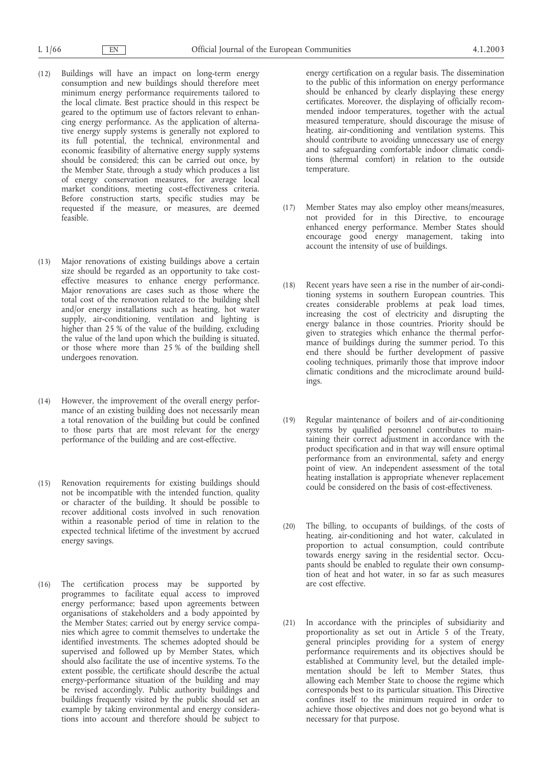- (12) Buildings will have an impact on long-term energy consumption and new buildings should therefore meet minimum energy performance requirements tailored to the local climate. Best practice should in this respect be geared to the optimum use of factors relevant to enhancing energy performance. As the application of alternative energy supply systems is generally not explored to its full potential, the technical, environmental and economic feasibility of alternative energy supply systems should be considered; this can be carried out once, by the Member State, through a study which produces a list of energy conservation measures, for average local market conditions, meeting cost-effectiveness criteria. Before construction starts, specific studies may be requested if the measure, or measures, are deemed feasible.
- (13) Major renovations of existing buildings above a certain size should be regarded as an opportunity to take costeffective measures to enhance energy performance. Major renovations are cases such as those where the total cost of the renovation related to the building shell and/or energy installations such as heating, hot water supply, air-conditioning, ventilation and lighting is higher than 25 % of the value of the building, excluding the value of the land upon which the building is situated, or those where more than 25 % of the building shell undergoes renovation.
- (14) However, the improvement of the overall energy performance of an existing building does not necessarily mean a total renovation of the building but could be confined to those parts that are most relevant for the energy performance of the building and are cost-effective.
- (15) Renovation requirements for existing buildings should not be incompatible with the intended function, quality or character of the building. It should be possible to recover additional costs involved in such renovation within a reasonable period of time in relation to the expected technical lifetime of the investment by accrued energy savings.
- (16) The certification process may be supported by programmes to facilitate equal access to improved energy performance; based upon agreements between organisations of stakeholders and a body appointed by the Member States; carried out by energy service companies which agree to commit themselves to undertake the identified investments. The schemes adopted should be supervised and followed up by Member States, which should also facilitate the use of incentive systems. To the extent possible, the certificate should describe the actual energy-performance situation of the building and may be revised accordingly. Public authority buildings and buildings frequently visited by the public should set an example by taking environmental and energy considerations into account and therefore should be subject to

energy certification on a regular basis. The dissemination to the public of this information on energy performance should be enhanced by clearly displaying these energy certificates. Moreover, the displaying of officially recommended indoor temperatures, together with the actual measured temperature, should discourage the misuse of heating, air-conditioning and ventilation systems. This should contribute to avoiding unnecessary use of energy and to safeguarding comfortable indoor climatic conditions (thermal comfort) in relation to the outside temperature.

- (17) Member States may also employ other means/measures, not provided for in this Directive, to encourage enhanced energy performance. Member States should encourage good energy management, taking into account the intensity of use of buildings.
- (18) Recent years have seen a rise in the number of air-conditioning systems in southern European countries. This creates considerable problems at peak load times, increasing the cost of electricity and disrupting the energy balance in those countries. Priority should be given to strategies which enhance the thermal performance of buildings during the summer period. To this end there should be further development of passive cooling techniques, primarily those that improve indoor climatic conditions and the microclimate around buildings.
- (19) Regular maintenance of boilers and of air-conditioning systems by qualified personnel contributes to maintaining their correct adjustment in accordance with the product specification and in that way will ensure optimal performance from an environmental, safety and energy point of view. An independent assessment of the total heating installation is appropriate whenever replacement could be considered on the basis of cost-effectiveness.
- (20) The billing, to occupants of buildings, of the costs of heating, air-conditioning and hot water, calculated in proportion to actual consumption, could contribute towards energy saving in the residential sector. Occupants should be enabled to regulate their own consumption of heat and hot water, in so far as such measures are cost effective.
- (21) In accordance with the principles of subsidiarity and proportionality as set out in Article 5 of the Treaty, general principles providing for a system of energy performance requirements and its objectives should be established at Community level, but the detailed implementation should be left to Member States, thus allowing each Member State to choose the regime which corresponds best to its particular situation. This Directive confines itself to the minimum required in order to achieve those objectives and does not go beyond what is necessary for that purpose.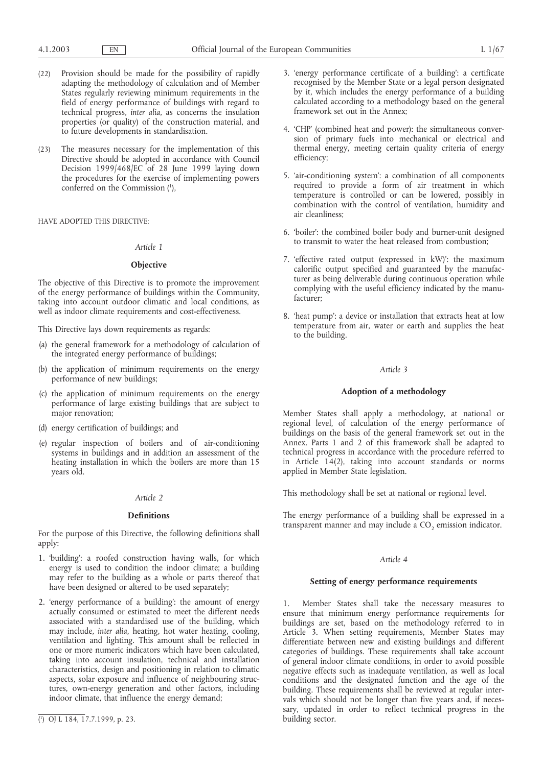- (22) Provision should be made for the possibility of rapidly adapting the methodology of calculation and of Member States regularly reviewing minimum requirements in the field of energy performance of buildings with regard to technical progress, *inter alia*, as concerns the insulation properties (or quality) of the construction material, and to future developments in standardisation.
- (23) The measures necessary for the implementation of this Directive should be adopted in accordance with Council Decision 1999/468/EC of 28 June 1999 laying down the procedures for the exercise of implementing powers conferred on the Commission (1 ),

HAVE ADOPTED THIS DIRECTIVE:

#### *Article 1*

#### **Objective**

The objective of this Directive is to promote the improvement of the energy performance of buildings within the Community, taking into account outdoor climatic and local conditions, as well as indoor climate requirements and cost-effectiveness.

This Directive lays down requirements as regards:

- (a) the general framework for a methodology of calculation of the integrated energy performance of buildings;
- (b) the application of minimum requirements on the energy performance of new buildings;
- (c) the application of minimum requirements on the energy performance of large existing buildings that are subject to major renovation;
- (d) energy certification of buildings; and
- (e) regular inspection of boilers and of air-conditioning systems in buildings and in addition an assessment of the heating installation in which the boilers are more than 15 years old.

#### *Article 2*

#### **Definitions**

For the purpose of this Directive, the following definitions shall apply:

- 1. 'building': a roofed construction having walls, for which energy is used to condition the indoor climate; a building may refer to the building as a whole or parts thereof that have been designed or altered to be used separately;
- 2. 'energy performance of a building': the amount of energy actually consumed or estimated to meet the different needs associated with a standardised use of the building, which may include, *inter alia*, heating, hot water heating, cooling, ventilation and lighting. This amount shall be reflected in one or more numeric indicators which have been calculated, taking into account insulation, technical and installation characteristics, design and positioning in relation to climatic aspects, solar exposure and influence of neighbouring structures, own-energy generation and other factors, including indoor climate, that influence the energy demand;
- 3. 'energy performance certificate of a building': a certificate recognised by the Member State or a legal person designated by it, which includes the energy performance of a building calculated according to a methodology based on the general framework set out in the Annex;
- 4. 'CHP' (combined heat and power): the simultaneous conversion of primary fuels into mechanical or electrical and thermal energy, meeting certain quality criteria of energy efficiency;
- 5. 'air-conditioning system': a combination of all components required to provide a form of air treatment in which temperature is controlled or can be lowered, possibly in combination with the control of ventilation, humidity and air cleanliness;
- 6. 'boiler': the combined boiler body and burner-unit designed to transmit to water the heat released from combustion;
- 7. 'effective rated output (expressed in kW)': the maximum calorific output specified and guaranteed by the manufacturer as being deliverable during continuous operation while complying with the useful efficiency indicated by the manufacturer;
- 8. 'heat pump': a device or installation that extracts heat at low temperature from air, water or earth and supplies the heat to the building.

#### *Article 3*

### **Adoption of a methodology**

Member States shall apply a methodology, at national or regional level, of calculation of the energy performance of buildings on the basis of the general framework set out in the Annex. Parts 1 and 2 of this framework shall be adapted to technical progress in accordance with the procedure referred to in Article 14(2), taking into account standards or norms applied in Member State legislation.

This methodology shall be set at national or regional level.

The energy performance of a building shall be expressed in a transparent manner and may include a  $CO<sub>2</sub>$  emission indicator.

#### *Article 4*

### **Setting of energy performance requirements**

1. Member States shall take the necessary measures to ensure that minimum energy performance requirements for buildings are set, based on the methodology referred to in Article 3. When setting requirements, Member States may differentiate between new and existing buildings and different categories of buildings. These requirements shall take account of general indoor climate conditions, in order to avoid possible negative effects such as inadequate ventilation, as well as local conditions and the designated function and the age of the building. These requirements shall be reviewed at regular intervals which should not be longer than five years and, if necessary, updated in order to reflect technical progress in the building sector.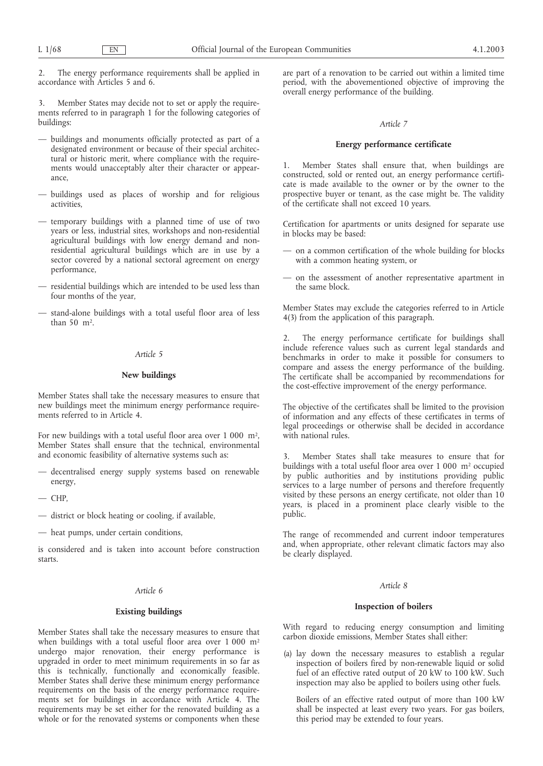2. The energy performance requirements shall be applied in accordance with Articles 5 and 6.

3. Member States may decide not to set or apply the requirements referred to in paragraph 1 for the following categories of buildings:

- buildings and monuments officially protected as part of a designated environment or because of their special architectural or historic merit, where compliance with the requirements would unacceptably alter their character or appearance,
- buildings used as places of worship and for religious activities,
- temporary buildings with a planned time of use of two years or less, industrial sites, workshops and non-residential agricultural buildings with low energy demand and nonresidential agricultural buildings which are in use by a sector covered by a national sectoral agreement on energy performance,
- residential buildings which are intended to be used less than four months of the year,
- stand-alone buildings with a total useful floor area of less than 50 m2.

#### *Article 5*

#### **New buildings**

Member States shall take the necessary measures to ensure that new buildings meet the minimum energy performance requirements referred to in Article 4.

For new buildings with a total useful floor area over 1 000 m2, Member States shall ensure that the technical, environmental and economic feasibility of alternative systems such as:

- decentralised energy supply systems based on renewable energy,
- $-$  CHP,
- district or block heating or cooling, if available,
- heat pumps, under certain conditions,

is considered and is taken into account before construction starts.

# *Article 6*

### **Existing buildings**

Member States shall take the necessary measures to ensure that when buildings with a total useful floor area over 1 000 m<sup>2</sup> undergo major renovation, their energy performance is upgraded in order to meet minimum requirements in so far as this is technically, functionally and economically feasible. Member States shall derive these minimum energy performance requirements on the basis of the energy performance requirements set for buildings in accordance with Article 4. The requirements may be set either for the renovated building as a whole or for the renovated systems or components when these are part of a renovation to be carried out within a limited time period, with the abovementioned objective of improving the overall energy performance of the building.

#### *Article 7*

#### **Energy performance certificate**

1. Member States shall ensure that, when buildings are constructed, sold or rented out, an energy performance certificate is made available to the owner or by the owner to the prospective buyer or tenant, as the case might be. The validity of the certificate shall not exceed 10 years.

Certification for apartments or units designed for separate use in blocks may be based:

- on a common certification of the whole building for blocks with a common heating system, or
- on the assessment of another representative apartment in the same block.

Member States may exclude the categories referred to in Article 4(3) from the application of this paragraph.

2. The energy performance certificate for buildings shall include reference values such as current legal standards and benchmarks in order to make it possible for consumers to compare and assess the energy performance of the building. The certificate shall be accompanied by recommendations for the cost-effective improvement of the energy performance.

The objective of the certificates shall be limited to the provision of information and any effects of these certificates in terms of legal proceedings or otherwise shall be decided in accordance with national rules.

3. Member States shall take measures to ensure that for buildings with a total useful floor area over 1 000 m2 occupied by public authorities and by institutions providing public services to a large number of persons and therefore frequently visited by these persons an energy certificate, not older than 10 years, is placed in a prominent place clearly visible to the public.

The range of recommended and current indoor temperatures and, when appropriate, other relevant climatic factors may also be clearly displayed.

#### *Article 8*

#### **Inspection of boilers**

With regard to reducing energy consumption and limiting carbon dioxide emissions, Member States shall either:

(a) lay down the necessary measures to establish a regular inspection of boilers fired by non-renewable liquid or solid fuel of an effective rated output of 20 kW to 100 kW. Such inspection may also be applied to boilers using other fuels.

Boilers of an effective rated output of more than 100 kW shall be inspected at least every two years. For gas boilers, this period may be extended to four years.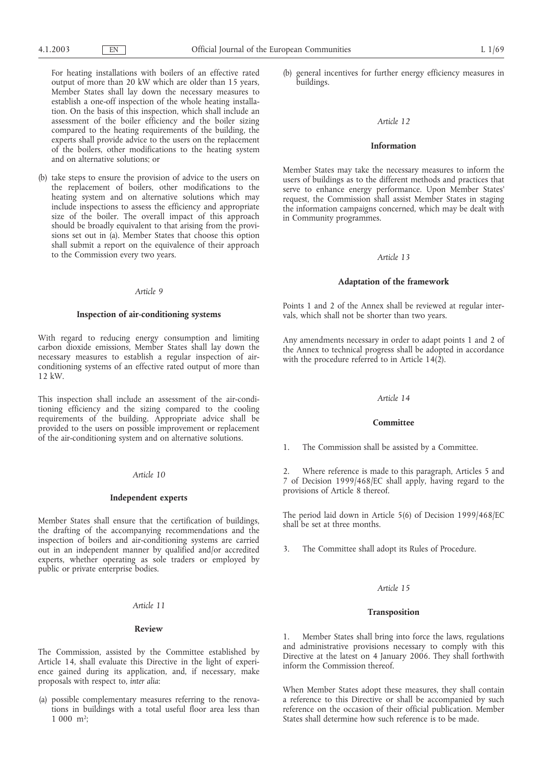For heating installations with boilers of an effective rated output of more than 20 kW which are older than 15 years, Member States shall lay down the necessary measures to establish a one-off inspection of the whole heating installation. On the basis of this inspection, which shall include an assessment of the boiler efficiency and the boiler sizing compared to the heating requirements of the building, the experts shall provide advice to the users on the replacement of the boilers, other modifications to the heating system and on alternative solutions; or

(b) take steps to ensure the provision of advice to the users on the replacement of boilers, other modifications to the heating system and on alternative solutions which may include inspections to assess the efficiency and appropriate size of the boiler. The overall impact of this approach should be broadly equivalent to that arising from the provisions set out in (a). Member States that choose this option shall submit a report on the equivalence of their approach to the Commission every two years.

#### *Article 9*

#### **Inspection of air-conditioning systems**

With regard to reducing energy consumption and limiting carbon dioxide emissions, Member States shall lay down the necessary measures to establish a regular inspection of airconditioning systems of an effective rated output of more than 12 kW.

This inspection shall include an assessment of the air-conditioning efficiency and the sizing compared to the cooling requirements of the building. Appropriate advice shall be provided to the users on possible improvement or replacement of the air-conditioning system and on alternative solutions.

#### *Article 10*

#### **Independent experts**

Member States shall ensure that the certification of buildings, the drafting of the accompanying recommendations and the inspection of boilers and air-conditioning systems are carried out in an independent manner by qualified and/or accredited experts, whether operating as sole traders or employed by public or private enterprise bodies.

### *Article 11*

#### **Review**

The Commission, assisted by the Committee established by Article 14, shall evaluate this Directive in the light of experience gained during its application, and, if necessary, make proposals with respect to, *inter alia*:

(a) possible complementary measures referring to the renovations in buildings with a total useful floor area less than 1 000 m2;

(b) general incentives for further energy efficiency measures in buildings.

#### *Article 12*

#### **Information**

Member States may take the necessary measures to inform the users of buildings as to the different methods and practices that serve to enhance energy performance. Upon Member States' request, the Commission shall assist Member States in staging the information campaigns concerned, which may be dealt with in Community programmes.

#### *Article 13*

#### **Adaptation of the framework**

Points 1 and 2 of the Annex shall be reviewed at regular intervals, which shall not be shorter than two years.

Any amendments necessary in order to adapt points 1 and 2 of the Annex to technical progress shall be adopted in accordance with the procedure referred to in Article 14(2).

#### *Article 14*

#### **Committee**

1. The Commission shall be assisted by a Committee.

2. Where reference is made to this paragraph, Articles 5 and 7 of Decision 1999/468/EC shall apply, having regard to the provisions of Article 8 thereof.

The period laid down in Article 5(6) of Decision 1999/468/EC shall be set at three months.

3. The Committee shall adopt its Rules of Procedure.

#### *Article 15*

#### **Transposition**

1. Member States shall bring into force the laws, regulations and administrative provisions necessary to comply with this Directive at the latest on 4 January 2006. They shall forthwith inform the Commission thereof.

When Member States adopt these measures, they shall contain a reference to this Directive or shall be accompanied by such reference on the occasion of their official publication. Member States shall determine how such reference is to be made.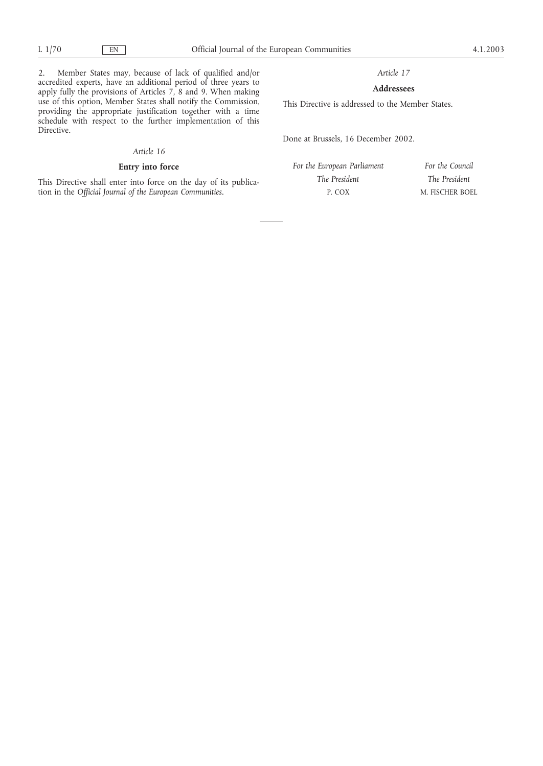2. Member States may, because of lack of qualified and/or accredited experts, have an additional period of three years to apply fully the provisions of Articles 7, 8 and 9. When making use of this option, Member States shall notify the Commission, providing the appropriate justification together with a time schedule with respect to the further implementation of this Directive.

### *Article 16*

# **Entry into force**

This Directive shall enter into force on the day of its publication in the *Official Journal of the European Communities*.

# *Article 17*

# **Addressees**

This Directive is addressed to the Member States.

Done at Brussels, 16 December 2002.

*For the European Parliament*

*The President* P. COX

*For the Council The President* M. FISCHER BOEL